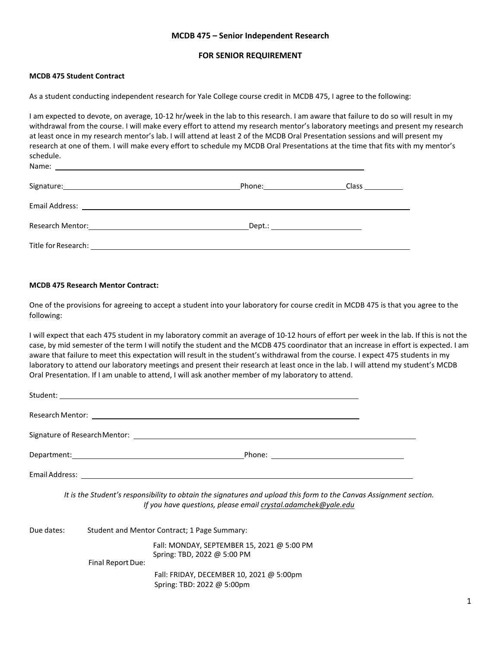## **MCDB 475 – Senior Independent Research**

#### **FOR SENIOR REQUIREMENT**

### **MCDB 475 Student Contract**

Name:

As a student conducting independent research for Yale College course credit in MCDB 475, I agree to the following:

I am expected to devote, on average, 10-12 hr/week in the lab to this research. I am aware that failure to do so will result in my withdrawal from the course. I will make every effort to attend my research mentor's laboratory meetings and present my research at least once in my research mentor's lab. I will attend at least 2 of the MCDB Oral Presentation sessions and will present my research at one of them. I will make every effort to schedule my MCDB Oral Presentations at the time that fits with my mentor's schedule.

| Signature: Note: 2008 and 2008 and 2008 and 2008 and 2008 and 2008 and 2008 and 2008 and 2008 and 2008 and 200 | Phone:_______________________          |  |
|----------------------------------------------------------------------------------------------------------------|----------------------------------------|--|
|                                                                                                                |                                        |  |
|                                                                                                                | _Dept.: ______________________________ |  |
|                                                                                                                |                                        |  |

#### **MCDB 475 Research Mentor Contract:**

One of the provisions for agreeing to accept a student into your laboratory for course credit in MCDB 475 is that you agree to the following:

I will expect that each 475 student in my laboratory commit an average of 10-12 hours of effort per week in the lab. If this is not the case, by mid semester of the term I will notify the student and the MCDB 475 coordinator that an increase in effort is expected. I am aware that failure to meet this expectation will result in the student's withdrawal from the course. I expect 475 students in my laboratory to attend our laboratory meetings and present their research at least once in the lab. I will attend my student's MCDB Oral Presentation. If I am unable to attend, I will ask another member of my laboratory to attend.

|            |                   | Student: <u>Communication</u>                                                                                                                                                       |  |  |
|------------|-------------------|-------------------------------------------------------------------------------------------------------------------------------------------------------------------------------------|--|--|
|            |                   |                                                                                                                                                                                     |  |  |
|            |                   |                                                                                                                                                                                     |  |  |
|            |                   |                                                                                                                                                                                     |  |  |
|            |                   |                                                                                                                                                                                     |  |  |
|            |                   | It is the Student's responsibility to obtain the signatures and upload this form to the Canvas Assignment section.<br>If you have questions, please email crystal.adamchek@yale.edu |  |  |
| Due dates: |                   | Student and Mentor Contract; 1 Page Summary:                                                                                                                                        |  |  |
|            |                   | Fall: MONDAY, SEPTEMBER 15, 2021 @ 5:00 PM<br>Spring: TBD, 2022 @ 5:00 PM                                                                                                           |  |  |
|            | Final Report Due: |                                                                                                                                                                                     |  |  |
|            |                   | Fall: FRIDAY, DECEMBER 10, 2021 @ 5:00pm                                                                                                                                            |  |  |
|            |                   | Spring: TBD: 2022 @ 5:00pm                                                                                                                                                          |  |  |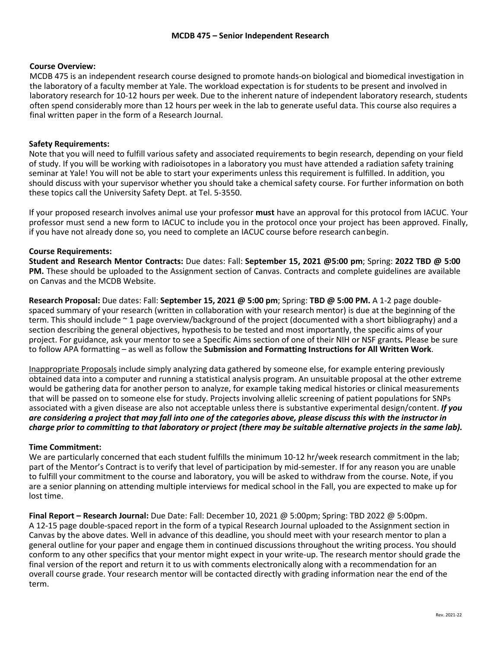# **Course Overview:**

MCDB 475 is an independent research course designed to promote hands-on biological and biomedical investigation in the laboratory of a faculty member at Yale. The workload expectation is for students to be present and involved in laboratory research for 10-12 hours per week. Due to the inherent nature of independent laboratory research, students often spend considerably more than 12 hours per week in the lab to generate useful data. This course also requires a final written paper in the form of a Research Journal.

# **Safety Requirements:**

Note that you will need to fulfill various safety and associated requirements to begin research, depending on your field of study. If you will be working with radioisotopes in a laboratory you must have attended a radiation safety training seminar at Yale! [You will not be abl](http://www.apastyle.org/)e to start your experiments unless this requirement is fulfilled. In addition, you should discuss w[ith your supervisor whether you should take a chemical safety course. For further information on both](https://owl.purdue.edu/owl/research_and_citation/apa_style/apa_formatting_and_style_guide/general_format.html) [these topics call the University S](https://owl.purdue.edu/owl/research_and_citation/apa_style/apa_formatting_and_style_guide/general_format.html)afety Dept. at Tel. 5-3550.

If your proposed research involves animal use your professor **must** [have an approval for this protocol from IACUC. Your](https://ctl.yale.edu/sites/default/files/files/Formated%20Writing%20an%20APA%20Style%20Empirical%20Paper%20KVCulin.pdf) [professor must send a new form to IACUC t](https://ctl.yale.edu/sites/default/files/files/Formated%20Writing%20an%20APA%20Style%20Empirical%20Paper%20KVCulin.pdf)o include you in the protocol once your project has been approved. Finally, if you have not already done so, you need to complete an IACUC course before research canbegin.

# **Course Requirements:**

**Student and Research Mentor Contracts:** Due dates: Fall: **September 15, 2021 @5:00 pm**; Spring: **2022 TBD @ 5:00 PM.** These should be uploaded to the Assignment section of Canvas. Contracts and complete guidelines are available on Canvas and the MCDB Website.

**Research Proposal:** Due dates: Fall: **September 15, 2021 @ 5:00 pm**; Spring: **TBD @ 5:00 PM.** A 1-2 page doublespaced summary of your research (written in collaboration with your research mentor) is due at the beginning of the term. This should include ~ 1 page overview/background of the project (documented with a short bibliography) and a section describing the general objectives, hypothesis to be tested and most importantly, the specific aims of your project. For guidance, ask your mentor to see a Specific Aims section of one of their NIH or NSF grants*.* Please be sure to follow APA formatting – as well as follow the **Submission and Formatting Instructions for All Written Work**.

Inappropriate Proposals include simply analyzing data gathered by someone else, for example entering previously obtained data into a computer and running a statistical analysis program. An unsuitable proposal at the other extreme would be gathering data for another person to analyze, for example taking medical histories or clinical measurements that will be passed on to someone else for study. Projects involving allelic screening of patient populations for SNPs associated with a given disease are also not acceptable unless there is substantive experimental design/content. *If you are considering a project that may fall into one of the categories above, please discuss this with the instructor in charge prior to committing to that laboratory or project (there may be suitable alternative projects in the same lab).*

### **Time Commitment:**

We are particularly concerned that each student fulfills the minimum 10-12 hr/week research commitment in the lab; part of the Mentor's Contract is to verify that level of participation by mid-semester. If for any reason you are unable to fulfill your commitment to the course and laboratory, you will be asked to withdraw from the course. Note, if you are a senior planning on attending multiple interviews for medical school in the Fall, you are expected to make up for lost time.

**Final Report – Research Journal:** Due Date: Fall: December 10, 2021 @ 5:00pm; Spring: TBD 2022 @ 5:00pm. A 12-15 page double-spaced report in the form of a typical Research Journal uploaded to the Assignment section in Canvas by the above dates. Well in advance of this deadline, you should meet with your research mentor to plan a general outline for your paper and engage them in continued discussions throughout the writing process. You should conform to any other specifics that your mentor might expect in your write-up. The research mentor should grade the final version of the report and return it to us with comments electronically along with a recommendation for an overall course grade. Your research mentor will be contacted directly with grading information near the end of the term.